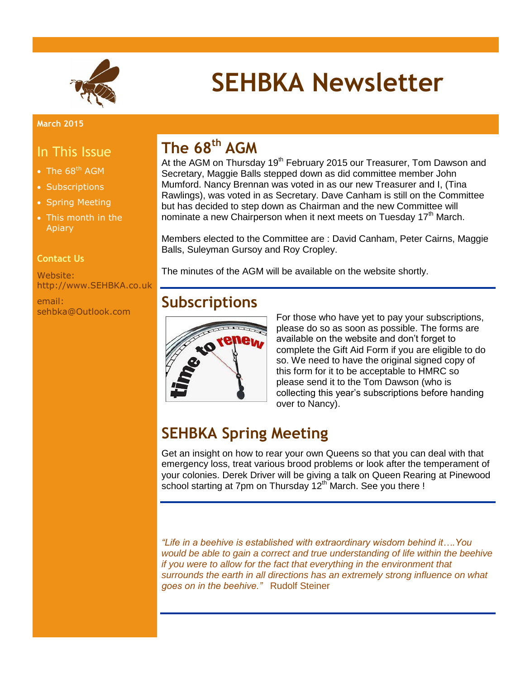

# **SEHBKA Newsletter**

#### **March 2015**

### In This Issue

- The  $68<sup>th</sup> AGM$
- Subscriptions
- Spring Meeting
- This month in the Apiary

### **Contact Us**

Website: http://www.SEHBKA.co.uk

email: sehbka@Outlook.com

# **The 68th AGM**

At the AGM on Thursday 19<sup>th</sup> February 2015 our Treasurer, Tom Dawson and Secretary, Maggie Balls stepped down as did committee member John Mumford. Nancy Brennan was voted in as our new Treasurer and I, (Tina Rawlings), was voted in as Secretary. Dave Canham is still on the Committee but has decided to step down as Chairman and the new Committee will nominate a new Chairperson when it next meets on Tuesday 17<sup>th</sup> March.

Members elected to the Committee are : David Canham, Peter Cairns, Maggie Balls, Suleyman Gursoy and Roy Cropley.

The minutes of the AGM will be available on the website shortly.

# **Subscriptions**



For those who have yet to pay your subscriptions, please do so as soon as possible. The forms are available on the website and don't forget to complete the Gift Aid Form if you are eligible to do so. We need to have the original signed copy of this form for it to be acceptable to HMRC so please send it to the Tom Dawson (who is collecting this year's subscriptions before handing over to Nancy).

# **SEHBKA Spring Meeting**

Get an insight on how to rear your own Queens so that you can deal with that emergency loss, treat various brood problems or look after the temperament of your colonies. Derek Driver will be giving a talk on Queen Rearing at Pinewood school starting at 7pm on Thursday 12<sup>th</sup> March. See you there !

*"Life in a beehive is established with extraordinary wisdom behind it….You would be able to gain a correct and true understanding of life within the beehive if you were to allow for the fact that everything in the environment that surrounds the earth in all directions has an extremely strong influence on what goes on in the beehive."* Rudolf Steiner